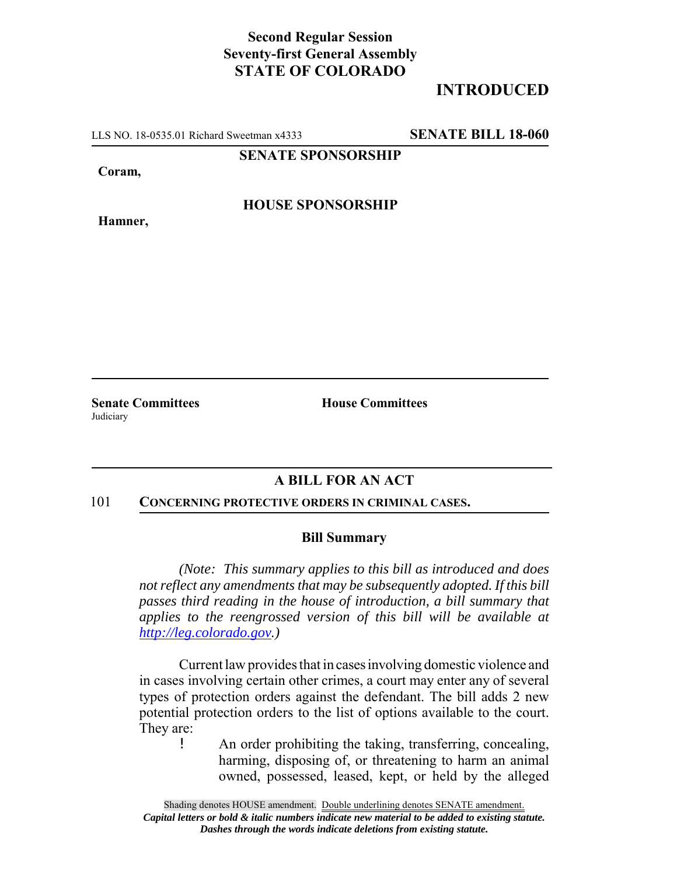## **Second Regular Session Seventy-first General Assembly STATE OF COLORADO**

# **INTRODUCED**

LLS NO. 18-0535.01 Richard Sweetman x4333 **SENATE BILL 18-060**

**SENATE SPONSORSHIP**

**Coram,**

**HOUSE SPONSORSHIP**

**Hamner,**

**Judiciary** 

**Senate Committees House Committees** 

### **A BILL FOR AN ACT**

#### 101 **CONCERNING PROTECTIVE ORDERS IN CRIMINAL CASES.**

### **Bill Summary**

*(Note: This summary applies to this bill as introduced and does not reflect any amendments that may be subsequently adopted. If this bill passes third reading in the house of introduction, a bill summary that applies to the reengrossed version of this bill will be available at http://leg.colorado.gov.)*

Current law provides that in cases involving domestic violence and in cases involving certain other crimes, a court may enter any of several types of protection orders against the defendant. The bill adds 2 new potential protection orders to the list of options available to the court. They are:

! An order prohibiting the taking, transferring, concealing, harming, disposing of, or threatening to harm an animal owned, possessed, leased, kept, or held by the alleged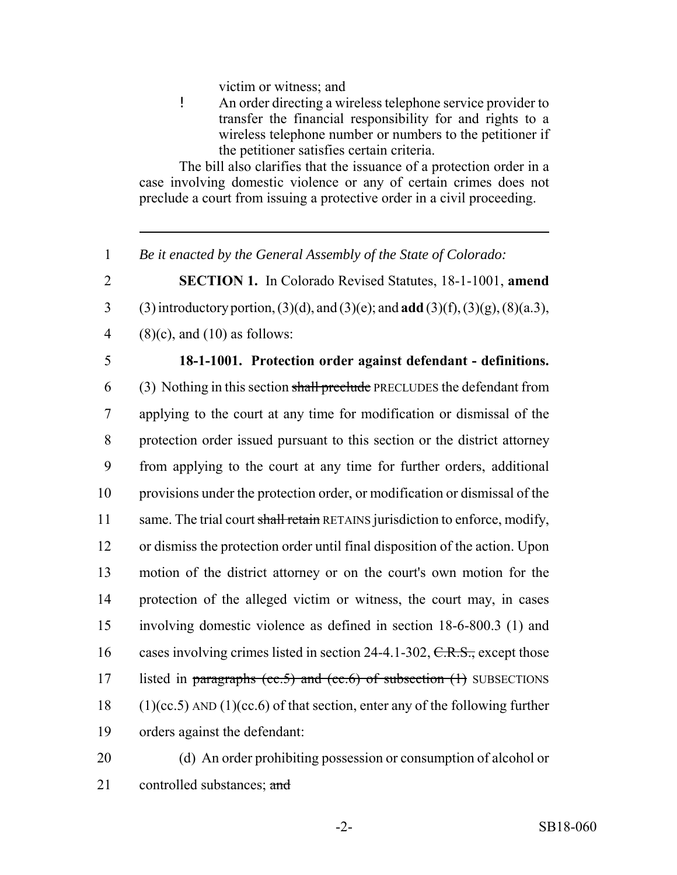victim or witness; and

! An order directing a wireless telephone service provider to transfer the financial responsibility for and rights to a wireless telephone number or numbers to the petitioner if the petitioner satisfies certain criteria.

The bill also clarifies that the issuance of a protection order in a case involving domestic violence or any of certain crimes does not preclude a court from issuing a protective order in a civil proceeding.

- 1 *Be it enacted by the General Assembly of the State of Colorado:*
- 2 **SECTION 1.** In Colorado Revised Statutes, 18-1-1001, **amend** 3 (3) introductory portion, (3)(d), and (3)(e); and **add** (3)(f), (3)(g), (8)(a.3),
- 4 (8)(c), and (10) as follows:
- 

## 5 **18-1-1001. Protection order against defendant - definitions.**

- 6 (3) Nothing in this section shall preclude PRECLUDES the defendant from 7 applying to the court at any time for modification or dismissal of the 8 protection order issued pursuant to this section or the district attorney 9 from applying to the court at any time for further orders, additional 10 provisions under the protection order, or modification or dismissal of the 11 same. The trial court shall retain RETAINS jurisdiction to enforce, modify, 12 or dismiss the protection order until final disposition of the action. Upon 13 motion of the district attorney or on the court's own motion for the 14 protection of the alleged victim or witness, the court may, in cases 15 involving domestic violence as defined in section 18-6-800.3 (1) and 16 cases involving crimes listed in section 24-4.1-302,  $C.R.S.,$  except those 17 listed in paragraphs (cc.5) and (cc.6) of subsection  $(1)$  SUBSECTIONS 18 (1)(cc.5) AND (1)(cc.6) of that section, enter any of the following further 19 orders against the defendant:
- 20 (d) An order prohibiting possession or consumption of alcohol or 21 controlled substances; and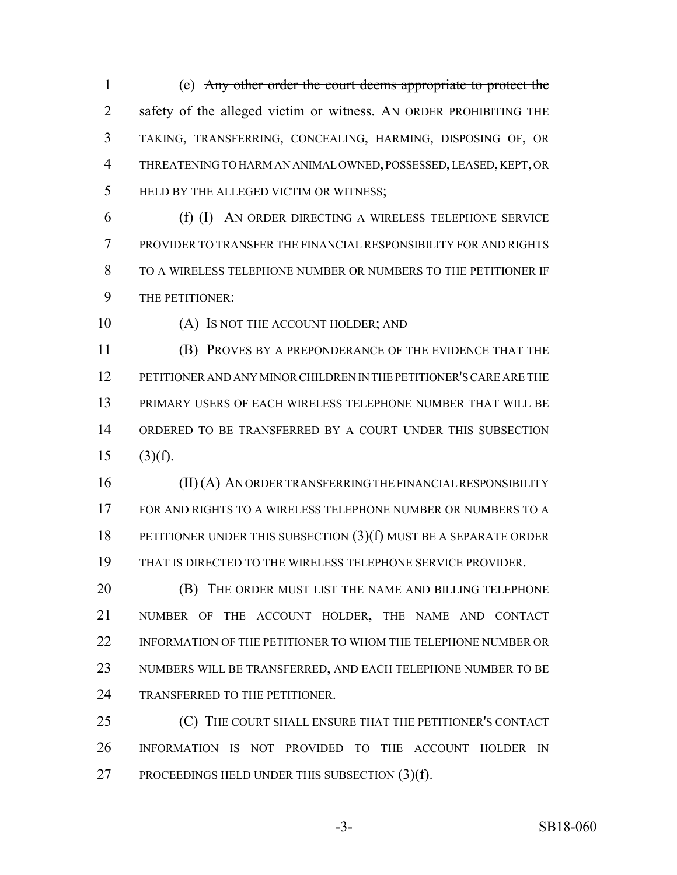(e) Any other order the court deems appropriate to protect the 2 safety of the alleged victim or witness. AN ORDER PROHIBITING THE TAKING, TRANSFERRING, CONCEALING, HARMING, DISPOSING OF, OR THREATENING TO HARM AN ANIMAL OWNED, POSSESSED, LEASED, KEPT, OR HELD BY THE ALLEGED VICTIM OR WITNESS;

 (f) (I) AN ORDER DIRECTING A WIRELESS TELEPHONE SERVICE PROVIDER TO TRANSFER THE FINANCIAL RESPONSIBILITY FOR AND RIGHTS TO A WIRELESS TELEPHONE NUMBER OR NUMBERS TO THE PETITIONER IF THE PETITIONER:

10 (A) IS NOT THE ACCOUNT HOLDER; AND

 (B) PROVES BY A PREPONDERANCE OF THE EVIDENCE THAT THE PETITIONER AND ANY MINOR CHILDREN IN THE PETITIONER'S CARE ARE THE PRIMARY USERS OF EACH WIRELESS TELEPHONE NUMBER THAT WILL BE ORDERED TO BE TRANSFERRED BY A COURT UNDER THIS SUBSECTION (3)(f).

 (II) (A) AN ORDER TRANSFERRING THE FINANCIAL RESPONSIBILITY FOR AND RIGHTS TO A WIRELESS TELEPHONE NUMBER OR NUMBERS TO A PETITIONER UNDER THIS SUBSECTION (3)(f) MUST BE A SEPARATE ORDER THAT IS DIRECTED TO THE WIRELESS TELEPHONE SERVICE PROVIDER.

 (B) THE ORDER MUST LIST THE NAME AND BILLING TELEPHONE NUMBER OF THE ACCOUNT HOLDER, THE NAME AND CONTACT 22 INFORMATION OF THE PETITIONER TO WHOM THE TELEPHONE NUMBER OR NUMBERS WILL BE TRANSFERRED, AND EACH TELEPHONE NUMBER TO BE TRANSFERRED TO THE PETITIONER.

 (C) THE COURT SHALL ENSURE THAT THE PETITIONER'S CONTACT INFORMATION IS NOT PROVIDED TO THE ACCOUNT HOLDER IN PROCEEDINGS HELD UNDER THIS SUBSECTION (3)(f).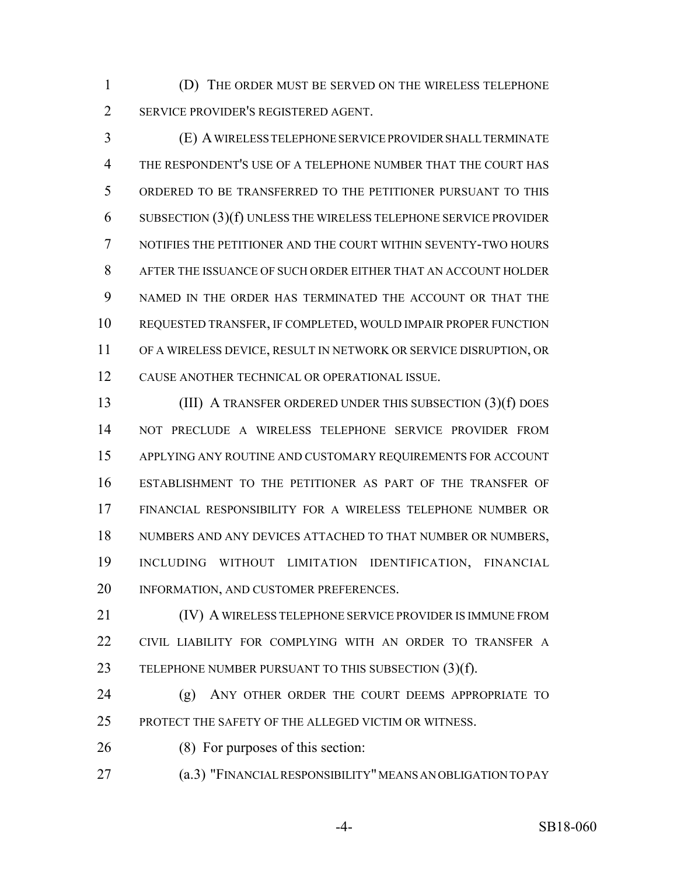(D) THE ORDER MUST BE SERVED ON THE WIRELESS TELEPHONE SERVICE PROVIDER'S REGISTERED AGENT.

 (E) A WIRELESS TELEPHONE SERVICE PROVIDER SHALL TERMINATE THE RESPONDENT'S USE OF A TELEPHONE NUMBER THAT THE COURT HAS ORDERED TO BE TRANSFERRED TO THE PETITIONER PURSUANT TO THIS SUBSECTION (3)(f) UNLESS THE WIRELESS TELEPHONE SERVICE PROVIDER NOTIFIES THE PETITIONER AND THE COURT WITHIN SEVENTY-TWO HOURS AFTER THE ISSUANCE OF SUCH ORDER EITHER THAT AN ACCOUNT HOLDER NAMED IN THE ORDER HAS TERMINATED THE ACCOUNT OR THAT THE REQUESTED TRANSFER, IF COMPLETED, WOULD IMPAIR PROPER FUNCTION OF A WIRELESS DEVICE, RESULT IN NETWORK OR SERVICE DISRUPTION, OR CAUSE ANOTHER TECHNICAL OR OPERATIONAL ISSUE.

 (III) A TRANSFER ORDERED UNDER THIS SUBSECTION (3)(f) DOES NOT PRECLUDE A WIRELESS TELEPHONE SERVICE PROVIDER FROM APPLYING ANY ROUTINE AND CUSTOMARY REQUIREMENTS FOR ACCOUNT ESTABLISHMENT TO THE PETITIONER AS PART OF THE TRANSFER OF FINANCIAL RESPONSIBILITY FOR A WIRELESS TELEPHONE NUMBER OR 18 NUMBERS AND ANY DEVICES ATTACHED TO THAT NUMBER OR NUMBERS, INCLUDING WITHOUT LIMITATION IDENTIFICATION, FINANCIAL INFORMATION, AND CUSTOMER PREFERENCES.

**(IV) A WIRELESS TELEPHONE SERVICE PROVIDER IS IMMUNE FROM**  CIVIL LIABILITY FOR COMPLYING WITH AN ORDER TO TRANSFER A 23 TELEPHONE NUMBER PURSUANT TO THIS SUBSECTION (3)(f).

 (g) ANY OTHER ORDER THE COURT DEEMS APPROPRIATE TO PROTECT THE SAFETY OF THE ALLEGED VICTIM OR WITNESS.

(8) For purposes of this section:

(a.3) "FINANCIAL RESPONSIBILITY" MEANS AN OBLIGATION TO PAY